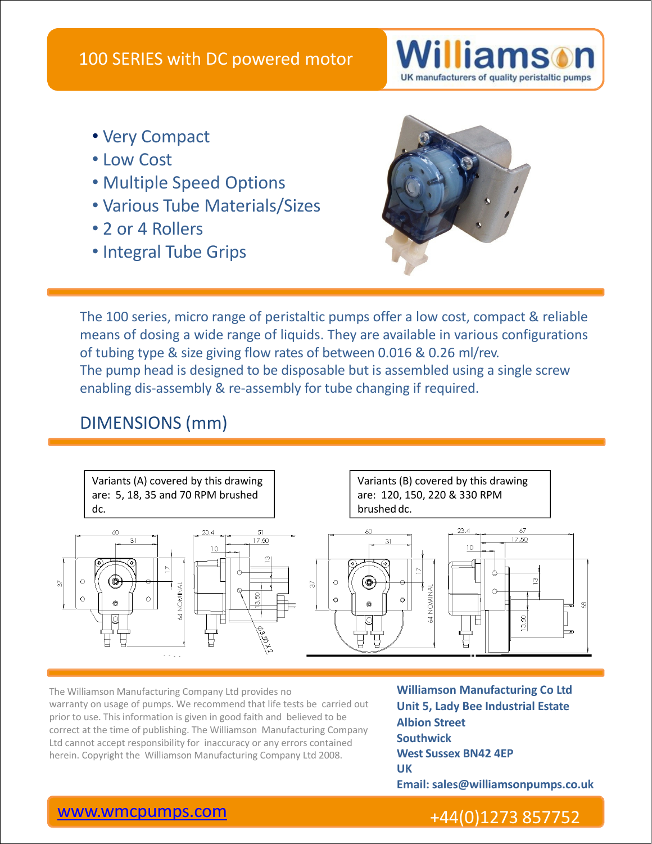

- Very Compact
- Low Cost
- Multiple Speed Options
- Various Tube Materials/Sizes
- 2 or 4 Rollers
- Integral Tube Grips



The 100 series, micro range of peristaltic pumps offer a low cost, compact & reliable means of dosing a wide range of liquids. They are available in various configurations of tubing type & size giving flow rates of between 0.016 & 0.26 ml/rev. The pump head is designed to be disposable but is assembled using a single screw enabling dis-assembly & re-assembly for tube changing if required.

## DIMENSIONS (mm)



The Williamson Manufacturing Company Ltd provides no **Williamson Manufacturing Co Ltd** warranty on usage of pumps. We recommend that life tests be carried out prior to use. This information is given in good faith and believed to be correct at the time of publishing. The Williamson Manufacturing Company Ltd cannot accept responsibility for inaccuracy or any errors contained The Williamson Manufacturing Company Ltd provides no<br>
warranty on usage of pumps. We recommend that life tests be carried out<br>
prior to use. This information is given in good faith and believed to be<br>
correct at the time o

**Unit 5, Lady Bee Industrial Estate Albion Street Southwick West Sussex BN42 4EP UK Email: sales@williamsonpumps.co.uk**

## www.wmcpumps.com +44(0)1273 857752